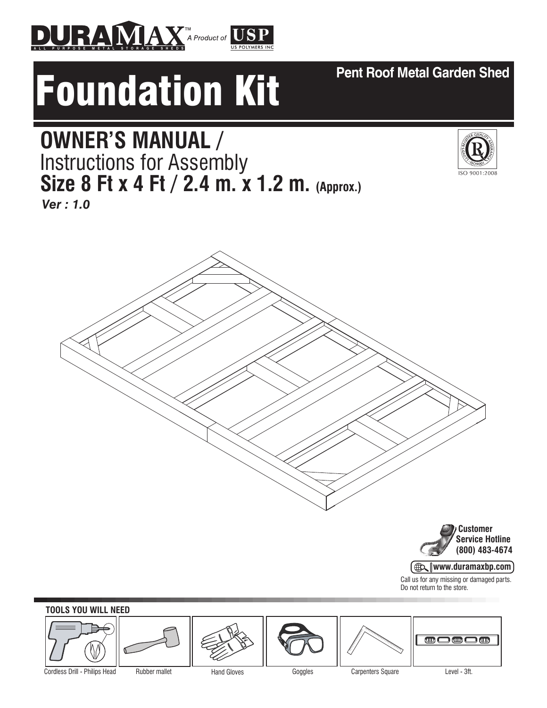



# **OWNER'S MANUAL /**  Instructions for Assembly **Size 8 Ft x 4 Ft / 2.4 m. x 1.2 m. (Approx.)**

*Ver : 1.0*



 **Customer Service Hotline (800) 483-4674**

**AD www.duramaxbp.com**

Call us for any missing or damaged parts. Do not return to the store.

## **TOOLS YOU WILL NEED**  $\textcircled{\tiny{m}}$ ℩全∩  $\Box$ Cordless Drill - Philips Head Rubber mallet Hand Gloves Goggles Carpenters Square Level - 3ft.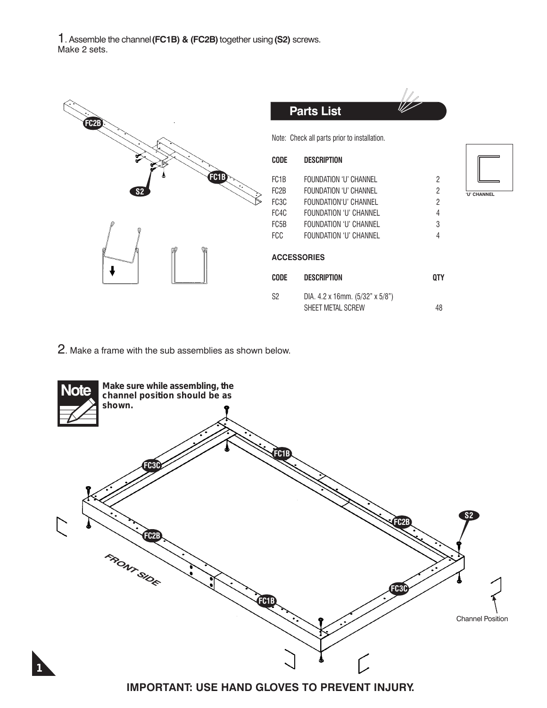1. Assemble the channel **(FC1B) & (FC2B)** together using **(S2)** screws. Make 2 sets.

| FC <sub>2B</sub>          |                   | <b>Parts List</b>                                    |                |             |
|---------------------------|-------------------|------------------------------------------------------|----------------|-------------|
|                           |                   | Note: Check all parts prior to installation.         |                |             |
|                           | <b>CODE</b>       | <b>DESCRIPTION</b>                                   |                |             |
| <b>FC1B</b>               | FC <sub>1</sub> B | <b>FOUNDATION 'U' CHANNEL</b>                        | $\overline{c}$ |             |
| $\left[ \text{S2}\right]$ | FC2B              | FOUNDATION 'U' CHANNEL                               | 2              | 'U' CHANNEL |
|                           | FC3C              | FOUNDATION'U' CHANNEL                                | $\overline{2}$ |             |
|                           | FC4C              | <b>FOUNDATION 'U' CHANNEL</b>                        | 4              |             |
|                           | FC5B              | <b>FOUNDATION 'U' CHANNEL</b>                        | 3              |             |
|                           | FCC               | <b>FOUNDATION 'U' CHANNEL</b>                        | 4              |             |
| J                         |                   | <b>ACCESSORIES</b>                                   |                |             |
|                           | <b>CODE</b>       | <b>DESCRIPTION</b>                                   | <b>QTY</b>     |             |
|                           | S <sub>2</sub>    | DIA. 4.2 x 16mm. (5/32" x 5/8")<br>SHEET METAL SCREW | 48             |             |

2. Make a frame with the sub assemblies as shown below.

*1*



**IMPORTANT: USE HAND GLOVES TO PREVENT INJURY.**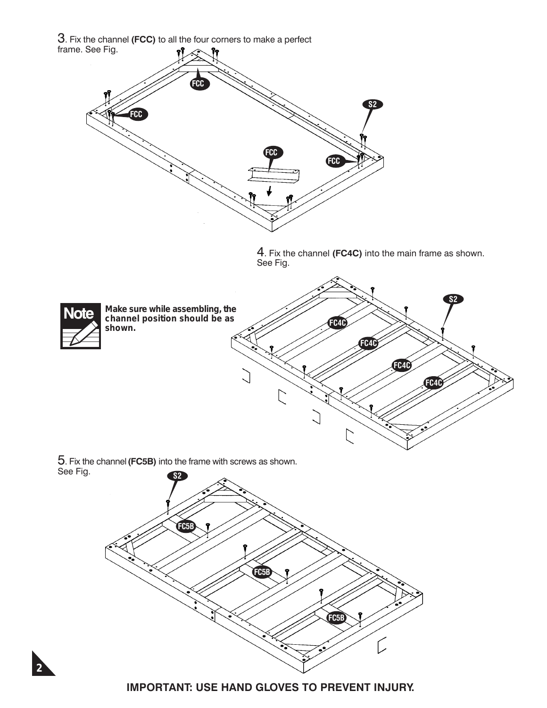3. Fix the channel **(FCC)** to all the four corners to make a perfect frame. See Fig.



4. Fix the channel **(FC4C)** into the main frame as shown. See Fig.

Ľ

**FC4C**

**FC4C**

**S2**



*2*

*Make sure while assembling, the channel position should be as shown.* **FC4C FC4C**

 $\bigcup$ 

 $\overline{C}$ 

5. Fix the channel **(FC5B)** into the frame with screws as shown. See Fig.



#### **IMPORTANT: USE HAND GLOVES TO PREVENT INJURY.**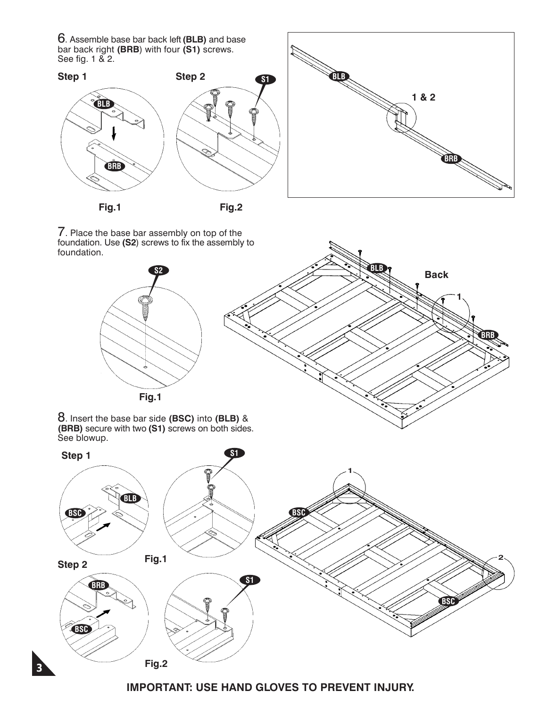6. Assemble base bar back left **(BLB)** and base bar back right **(BRB**) with four **(S1)** screws. See fig. 1 & 2.



**Fig.1 Fig.2**



7. Place the base bar assembly on top of the foundation. Use **(S2**) screws to fix the assembly to foundation.

*3*



**IMPORTANT: USE HAND GLOVES TO PREVENT INJURY.**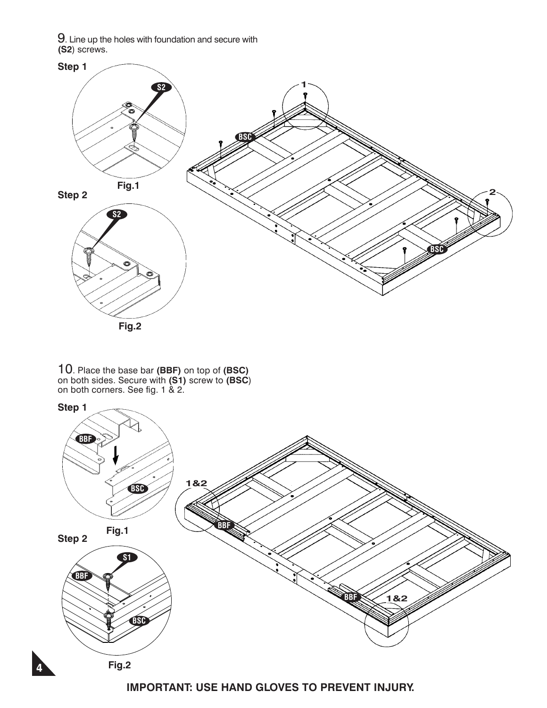$9$ . Line up the holes with foundation and secure with **(S2**) screws.



10. Place the base bar **(BBF)** on top of **(BSC)**  on both sides. Secure with **(S1)** screw to **(BSC**) on both corners. See fig. 1 & 2.

*4*



**IMPORTANT: USE HAND GLOVES TO PREVENT INJURY.**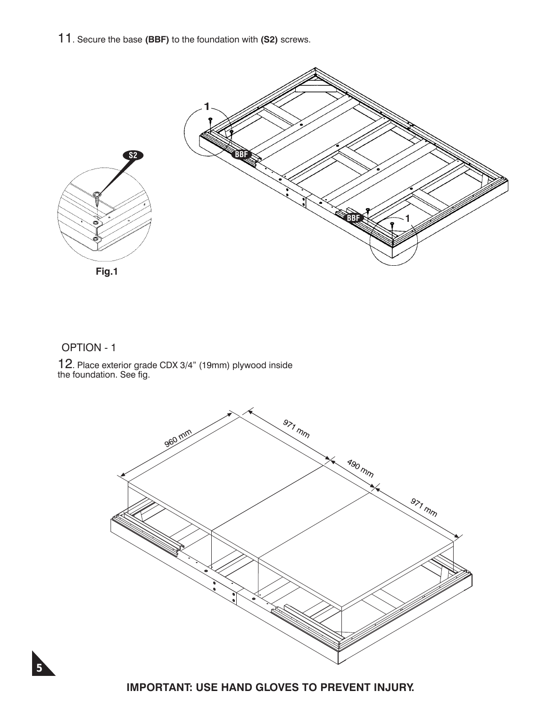11. Secure the base **(BBF)** to the foundation with **(S2)** screws.



#### OPTION - 1

12. Place exterior grade CDX 3/4" (19mm) plywood inside the foundation. See fig.





**IMPORTANT: USE HAND GLOVES TO PREVENT INJURY.**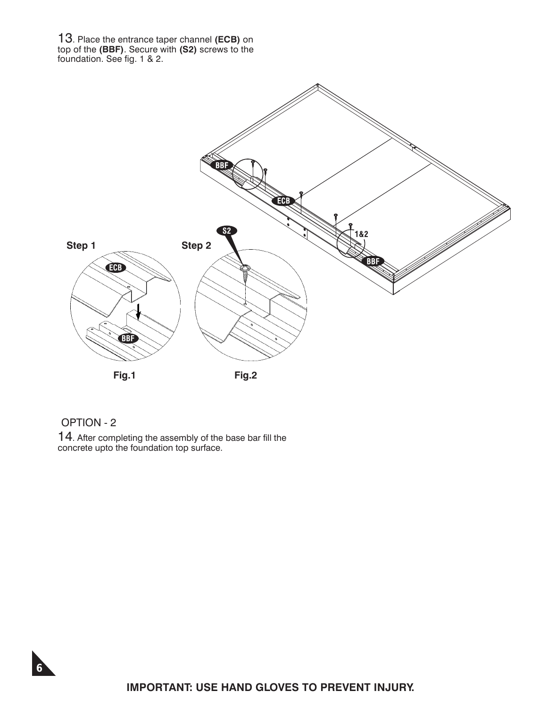13. Place the entrance taper channel **(ECB)** on top of the **(BBF)**. Secure with **(S2)** screws to the foundation. See fig. 1 & 2.



### OPTION - 2

*6*

14. After completing the assembly of the base bar fill the concrete upto the foundation top surface.